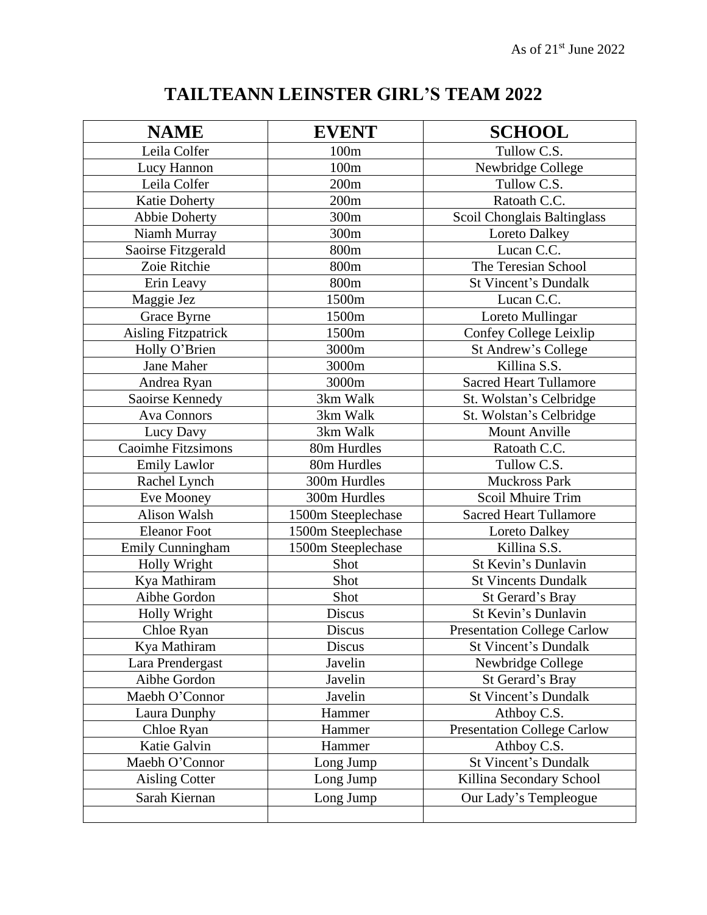## **TAILTEANN LEINSTER GIRL'S TEAM 2022**

| <b>NAME</b>                | <b>EVENT</b>       | <b>SCHOOL</b>                      |
|----------------------------|--------------------|------------------------------------|
| Leila Colfer               | 100 <sub>m</sub>   | Tullow C.S.                        |
| Lucy Hannon                | 100m               | Newbridge College                  |
| Leila Colfer               | 200m               | Tullow C.S.                        |
| <b>Katie Doherty</b>       | 200m               | Ratoath C.C.                       |
| <b>Abbie Doherty</b>       | 300m               | Scoil Chonglais Baltinglass        |
| Niamh Murray               | 300m               | Loreto Dalkey                      |
| Saoirse Fitzgerald         | 800m               | Lucan C.C.                         |
| Zoie Ritchie               | 800m               | The Teresian School                |
| Erin Leavy                 | 800m               | <b>St Vincent's Dundalk</b>        |
| Maggie Jez                 | 1500m              | Lucan C.C.                         |
| Grace Byrne                | 1500m              | Loreto Mullingar                   |
| <b>Aisling Fitzpatrick</b> | 1500m              | Confey College Leixlip             |
| Holly O'Brien              | 3000m              | <b>St Andrew's College</b>         |
| Jane Maher                 | 3000m              | Killina S.S.                       |
| Andrea Ryan                | 3000m              | <b>Sacred Heart Tullamore</b>      |
| Saoirse Kennedy            | 3km Walk           | St. Wolstan's Celbridge            |
| <b>Ava Connors</b>         | 3km Walk           | St. Wolstan's Celbridge            |
| Lucy Davy                  | 3km Walk           | <b>Mount Anville</b>               |
| <b>Caoimhe Fitzsimons</b>  | 80m Hurdles        | Ratoath C.C.                       |
| <b>Emily Lawlor</b>        | 80m Hurdles        | Tullow C.S.                        |
| Rachel Lynch               | 300m Hurdles       | <b>Muckross Park</b>               |
| Eve Mooney                 | 300m Hurdles       | Scoil Mhuire Trim                  |
| <b>Alison Walsh</b>        | 1500m Steeplechase | <b>Sacred Heart Tullamore</b>      |
| <b>Eleanor Foot</b>        | 1500m Steeplechase | Loreto Dalkey                      |
| <b>Emily Cunningham</b>    | 1500m Steeplechase | Killina S.S.                       |
| Holly Wright               | Shot               | St Kevin's Dunlavin                |
| Kya Mathiram               | Shot               | <b>St Vincents Dundalk</b>         |
| Aibhe Gordon               | Shot               | St Gerard's Bray                   |
| Holly Wright               | Discus             | St Kevin's Dunlavin                |
| Chloe Ryan                 | Discus             | <b>Presentation College Carlow</b> |
| Kya Mathiram               | Discus             | <b>St Vincent's Dundalk</b>        |
| Lara Prendergast           | Javelin            | Newbridge College                  |
| Aibhe Gordon               | Javelin            | St Gerard's Bray                   |
| Maebh O'Connor             | Javelin            | <b>St Vincent's Dundalk</b>        |
| Laura Dunphy               | Hammer             | Athboy C.S.                        |
| Chloe Ryan                 | Hammer             | <b>Presentation College Carlow</b> |
| Katie Galvin               | Hammer             | Athboy C.S.                        |
| Maebh O'Connor             | Long Jump          | <b>St Vincent's Dundalk</b>        |
| <b>Aisling Cotter</b>      | Long Jump          | Killina Secondary School           |
| Sarah Kiernan              | Long Jump          | Our Lady's Templeogue              |
|                            |                    |                                    |